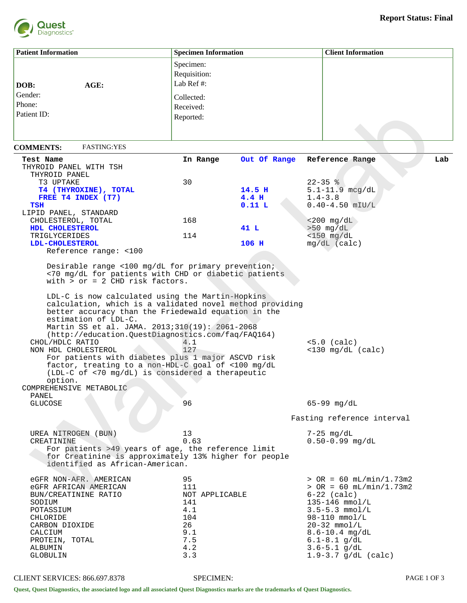

| <b>Patient Information</b>                                                                                                                                                                                                                                                                                                                                                                                                                                                                                                                                                                                                                                                  | <b>Specimen Information</b>                                          |                            | <b>Client Information</b>                                                                                                                                                                            |
|-----------------------------------------------------------------------------------------------------------------------------------------------------------------------------------------------------------------------------------------------------------------------------------------------------------------------------------------------------------------------------------------------------------------------------------------------------------------------------------------------------------------------------------------------------------------------------------------------------------------------------------------------------------------------------|----------------------------------------------------------------------|----------------------------|------------------------------------------------------------------------------------------------------------------------------------------------------------------------------------------------------|
|                                                                                                                                                                                                                                                                                                                                                                                                                                                                                                                                                                                                                                                                             | Specimen:                                                            |                            |                                                                                                                                                                                                      |
|                                                                                                                                                                                                                                                                                                                                                                                                                                                                                                                                                                                                                                                                             | Requisition:                                                         |                            |                                                                                                                                                                                                      |
| AGE:<br>DOB:                                                                                                                                                                                                                                                                                                                                                                                                                                                                                                                                                                                                                                                                | Lab Ref #:                                                           |                            |                                                                                                                                                                                                      |
| Gender:                                                                                                                                                                                                                                                                                                                                                                                                                                                                                                                                                                                                                                                                     |                                                                      |                            |                                                                                                                                                                                                      |
|                                                                                                                                                                                                                                                                                                                                                                                                                                                                                                                                                                                                                                                                             | Collected:                                                           |                            |                                                                                                                                                                                                      |
| Phone:                                                                                                                                                                                                                                                                                                                                                                                                                                                                                                                                                                                                                                                                      | Received:                                                            |                            |                                                                                                                                                                                                      |
| Patient ID:                                                                                                                                                                                                                                                                                                                                                                                                                                                                                                                                                                                                                                                                 | Reported:                                                            |                            |                                                                                                                                                                                                      |
|                                                                                                                                                                                                                                                                                                                                                                                                                                                                                                                                                                                                                                                                             |                                                                      |                            |                                                                                                                                                                                                      |
| <b>FASTING: YES</b><br><b>COMMENTS:</b>                                                                                                                                                                                                                                                                                                                                                                                                                                                                                                                                                                                                                                     |                                                                      |                            |                                                                                                                                                                                                      |
| Test Name                                                                                                                                                                                                                                                                                                                                                                                                                                                                                                                                                                                                                                                                   | In Range                                                             | Out Of Range               | Reference Range<br>Lab                                                                                                                                                                               |
| THYROID PANEL WITH TSH                                                                                                                                                                                                                                                                                                                                                                                                                                                                                                                                                                                                                                                      |                                                                      |                            |                                                                                                                                                                                                      |
| THYROID PANEL                                                                                                                                                                                                                                                                                                                                                                                                                                                                                                                                                                                                                                                               |                                                                      |                            |                                                                                                                                                                                                      |
| T3 UPTAKE                                                                                                                                                                                                                                                                                                                                                                                                                                                                                                                                                                                                                                                                   | 30                                                                   |                            | $22 - 35$ %                                                                                                                                                                                          |
| T4 (THYROXINE), TOTAL<br>FREE T4 INDEX (T7)                                                                                                                                                                                                                                                                                                                                                                                                                                                                                                                                                                                                                                 |                                                                      | 14.5 H<br>4.4 <sub>H</sub> | $5.1 - 11.9$ mcg/dL<br>$1.4 - 3.8$                                                                                                                                                                   |
| <b>TSH</b>                                                                                                                                                                                                                                                                                                                                                                                                                                                                                                                                                                                                                                                                  |                                                                      | 0.11L                      | $0.40 - 4.50$ mIU/L                                                                                                                                                                                  |
| LIPID PANEL, STANDARD                                                                                                                                                                                                                                                                                                                                                                                                                                                                                                                                                                                                                                                       |                                                                      |                            |                                                                                                                                                                                                      |
| CHOLESTEROL, TOTAL                                                                                                                                                                                                                                                                                                                                                                                                                                                                                                                                                                                                                                                          | 168                                                                  |                            | $< 200$ mg/dL                                                                                                                                                                                        |
| HDL CHOLESTEROL<br>TRIGLYCERIDES                                                                                                                                                                                                                                                                                                                                                                                                                                                                                                                                                                                                                                            | 114                                                                  | 41 L                       | $>50$ mg/dL<br>$<$ 150 mg/dL                                                                                                                                                                         |
| LDL-CHOLESTEROL                                                                                                                                                                                                                                                                                                                                                                                                                                                                                                                                                                                                                                                             |                                                                      | 106 H                      | $mq/dL$ (calc)                                                                                                                                                                                       |
| Reference range: <100                                                                                                                                                                                                                                                                                                                                                                                                                                                                                                                                                                                                                                                       |                                                                      |                            |                                                                                                                                                                                                      |
| <70 mg/dL for patients with CHD or diabetic patients<br>with $>$ or = 2 CHD risk factors.<br>LDL-C is now calculated using the Martin-Hopkins<br>calculation, which is a validated novel method providing<br>better accuracy than the Friedewald equation in the<br>estimation of LDL-C.<br>Martin SS et al. JAMA. 2013;310(19): 2061-2068<br>(http://education.QuestDiagnostics.com/faq/FAQ164)<br>CHOL/HDLC RATIO<br>NON HDL CHOLESTEROL<br>For patients with diabetes plus 1 major ASCVD risk<br>factor, treating to a non-HDL-C goal of <100 mg/dL<br>(LDL-C of <70 mg/dL) is considered a therapeutic<br>option.<br>COMPREHENSIVE METABOLIC<br>PANEL<br><b>GLUCOSE</b> | 4.1<br>127<br>96                                                     |                            | $<5.0$ (calc)<br>$<$ 130 mg/dL (calc)<br>$65 - 99$ mg/dL                                                                                                                                             |
|                                                                                                                                                                                                                                                                                                                                                                                                                                                                                                                                                                                                                                                                             |                                                                      |                            |                                                                                                                                                                                                      |
|                                                                                                                                                                                                                                                                                                                                                                                                                                                                                                                                                                                                                                                                             |                                                                      |                            | Fasting reference interval                                                                                                                                                                           |
| UREA NITROGEN (BUN)                                                                                                                                                                                                                                                                                                                                                                                                                                                                                                                                                                                                                                                         | 13                                                                   |                            | $7-25$ mg/dL                                                                                                                                                                                         |
| CREATININE<br>For patients >49 years of age, the reference limit<br>for Creatinine is approximately 13% higher for people<br>identified as African-American.                                                                                                                                                                                                                                                                                                                                                                                                                                                                                                                | 0.63                                                                 |                            | $0.50 - 0.99$ mg/dL                                                                                                                                                                                  |
| eGFR NON-AFR. AMERICAN<br>eGFR AFRICAN AMERICAN<br>BUN/CREATININE RATIO<br>SODIUM<br>POTASSIUM<br>CHLORIDE<br>CARBON DIOXIDE<br>CALCIUM<br>PROTEIN, TOTAL                                                                                                                                                                                                                                                                                                                                                                                                                                                                                                                   | 95<br>111<br>NOT APPLICABLE<br>141<br>4.1<br>104<br>26<br>9.1<br>7.5 |                            | $>$ OR = 60 mL/min/1.73m2<br>$>$ OR = 60 mL/min/1.73m2<br>$6-22$ (calc)<br>$135 - 146$ mmol/L<br>$3.5 - 5.3$ mmol/L<br>$98 - 110$ mmol/L<br>$20-32$ mmol/L<br>$8.6 - 10.4$ mg/dL<br>$6.1 - 8.1$ g/dL |
| ALBUMIN                                                                                                                                                                                                                                                                                                                                                                                                                                                                                                                                                                                                                                                                     | 4.2                                                                  |                            | $3.6 - 5.1$ g/dL                                                                                                                                                                                     |
| <b>GLOBULIN</b>                                                                                                                                                                                                                                                                                                                                                                                                                                                                                                                                                                                                                                                             | 3.3                                                                  |                            | $1.9 - 3.7$ g/dL (calc)                                                                                                                                                                              |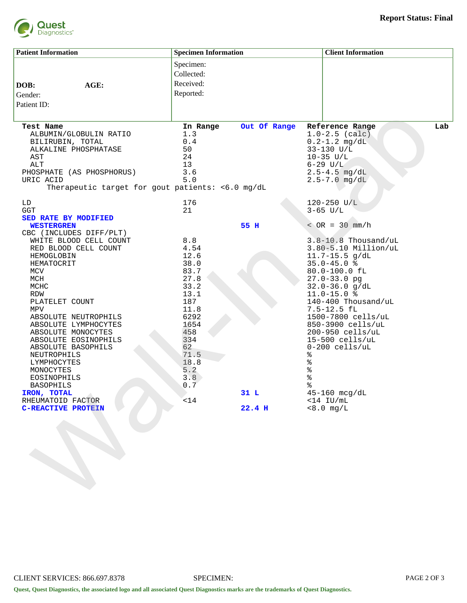

| <b>Patient Information</b>                                    | <b>Specimen Information</b> |              | <b>Client Information</b>                          |     |
|---------------------------------------------------------------|-----------------------------|--------------|----------------------------------------------------|-----|
|                                                               | Specimen:                   |              |                                                    |     |
|                                                               | Collected:                  |              |                                                    |     |
|                                                               | Received:                   |              |                                                    |     |
| AGE:<br>DOB:                                                  |                             |              |                                                    |     |
| Gender:                                                       | Reported:                   |              |                                                    |     |
| Patient ID:                                                   |                             |              |                                                    |     |
|                                                               |                             |              |                                                    |     |
| <b>Test Name</b>                                              | In Range                    | Out Of Range | Reference Range                                    | Lab |
| ALBUMIN/GLOBULIN RATIO                                        | 1.3                         |              | $1.0 - 2.5$ (calc)                                 |     |
| BILIRUBIN, TOTAL                                              | 0.4                         |              | $0.2 - 1.2$ mg/dL                                  |     |
| ALKALINE PHOSPHATASE                                          | 50                          |              | 33-130 U/L                                         |     |
| AST                                                           | 24                          |              | $10-35$ $U/L$                                      |     |
| ALT                                                           | 13                          |              | $6 - 29$ $U/L$                                     |     |
| PHOSPHATE (AS PHOSPHORUS)                                     | 3.6                         |              | $2.5 - 4.5$ mg/dL                                  |     |
| URIC ACID<br>Therapeutic target for gout patients: <6.0 mg/dL | 5.0                         |              | $2.5 - 7.0$ mg/dL                                  |     |
|                                                               |                             |              |                                                    |     |
| LD                                                            | 176                         |              | 120-250 U/L                                        |     |
| GGT                                                           | 21                          |              | $3-65$ U/L                                         |     |
| SED RATE BY MODIFIED                                          |                             |              |                                                    |     |
| <b>WESTERGREN</b>                                             |                             | 55 H         | $\angle$ OR = 30 mm/h                              |     |
| CBC (INCLUDES DIFF/PLT)                                       |                             |              |                                                    |     |
| WHITE BLOOD CELL COUNT                                        | 8.8<br>4.54                 |              | $3.8 - 10.8$ Thousand/uL<br>$3.80-5.10$ Million/uL |     |
| RED BLOOD CELL COUNT<br>HEMOGLOBIN                            | 12.6                        |              | $11.7 - 15.5$ q/dL                                 |     |
| HEMATOCRIT                                                    | 38.0                        |              | $35.0 - 45.0$ %                                    |     |
| MCV                                                           | 83.7                        |              | 80.0-100.0 fL                                      |     |
| MCH                                                           | 27.8                        |              | $27.0 - 33.0$ pg                                   |     |
| MCHC                                                          | 33.2                        |              | $32.0 - 36.0$ g/dL                                 |     |
| RDW                                                           | 13.1                        |              | $11.0 - 15.0$ %                                    |     |
| PLATELET COUNT                                                | 187                         |              | 140-400 Thousand/uL                                |     |
| MPV                                                           | 11.8                        |              | $7.5 - 12.5$ fL                                    |     |
| ABSOLUTE NEUTROPHILS                                          | 6292                        |              | 1500-7800 cells/uL                                 |     |
| ABSOLUTE LYMPHOCYTES                                          | 1654                        |              | 850-3900 cells/uL                                  |     |
| ABSOLUTE MONOCYTES                                            | 458                         |              | 200-950 cells/uL                                   |     |
| ABSOLUTE EOSINOPHILS                                          | 334                         |              | $15-500$ cells/uL                                  |     |
| ABSOLUTE BASOPHILS                                            | 62                          |              | $0-200$ cells/uL                                   |     |
| NEUTROPHILS                                                   | 71.5                        |              | %                                                  |     |
| LYMPHOCYTES                                                   | 18.8                        |              | %                                                  |     |
| MONOCYTES                                                     | 5.2                         |              | ್ <mark>ಠಿ</mark>                                  |     |
| EOSINOPHILS                                                   | 3.8                         |              | ಕಿ                                                 |     |
| <b>BASOPHILS</b>                                              | 0.7                         |              | နွ                                                 |     |
| IRON, TOTAL                                                   |                             | 31L          | 45-160 mcg/dL                                      |     |
| RHEUMATOID FACTOR                                             | $<14$                       |              | $<$ 14 IU/mL                                       |     |
| <b>C-REACTIVE PROTEIN</b>                                     |                             | 22.4 H       | $< 8.0$ mg/L                                       |     |
|                                                               |                             |              |                                                    |     |
|                                                               |                             |              |                                                    |     |
|                                                               |                             |              |                                                    |     |
|                                                               |                             |              |                                                    |     |
|                                                               |                             |              |                                                    |     |
|                                                               |                             |              |                                                    |     |
|                                                               |                             |              |                                                    |     |
|                                                               |                             |              |                                                    |     |
|                                                               |                             |              |                                                    |     |
|                                                               |                             |              |                                                    |     |
|                                                               |                             |              |                                                    |     |